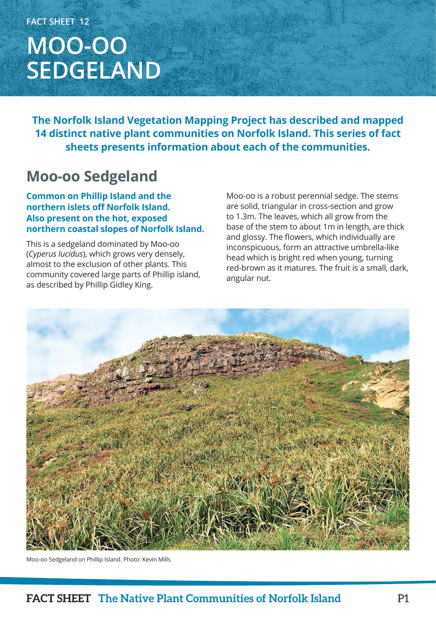# **FACT SHEET 12 MOO-OO SEDGELAND**

**The Norfolk Island Vegetation Mapping Project has described and mapped 14 distinct native plant communities on Norfolk Island. This series of fact sheets presents information about each of the communities.**

## **Moo-oo Sedgeland**

**Common on Phillip Island and the northern islets off Norfolk Island. Also present on the hot, exposed northern coastal slopes of Norfolk Island.**

This is a sedgeland dominated by Moo-oo (*Cyperus lucidus*), which grows very densely, almost to the exclusion of other plants. This community covered large parts of Phillip island, as described by Phillip Gidley King.

Moo-oo is a robust perennial sedge. The stems are solid, triangular in cross-section and grow to 1.3m. The leaves, which all grow from the base of the stem to about 1m in length, are thick and glossy. The flowers, which individually are inconspicuous, form an attractive umbrella-like head which is bright red when young, turning red-brown as it matures. The fruit is a small, dark, angular nut.



Moo-oo Sedgeland on Phillip Island. Photo: Kevin Mills